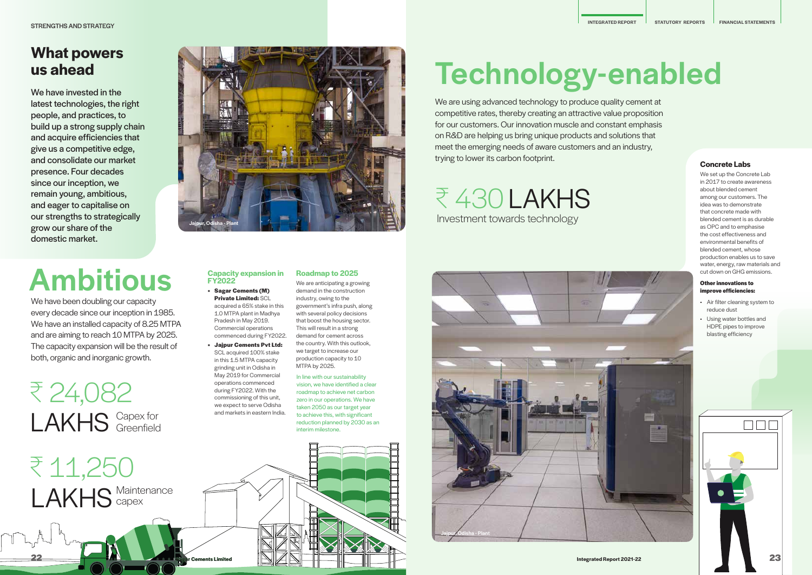We are using advanced technology to produce quality cement at competitive rates, thereby creating an attractive value proposition for our customers. Our innovation muscle and constant emphasis on R&D are helping us bring unique products and solutions that meet the emerging needs of aware customers and an industry, trying to lower its carbon footprint. **Concrete Labs**

> We set up the Concrete Lab in 2017 to create awareness about blended cement among our customers. The idea was to demonstrate that concrete made with blended cement is as durable as OPC and to emphasise the cost effectiveness and environmental benefits of blended cement, whose production enables us to save water, energy, raw materials and cut down on GHG emissions.

#### **Other innovations to improve efficiencies:**

- Air filter cleaning system to reduce dust
- Using water bottles and HDPE pipes to improve blasting efficiency



## **What powers us ahead**

We have invested in the latest technologies, the right people, and practices, to build up a strong supply chain and acquire efficiencies that give us a competitive edge, and consolidate our market presence. Four decades since our inception, we remain young, ambitious, and eager to capitalise on our strengths to strategically grow our share of the domestic market.

**E 430 LAKHS** Investment towards technology

रू 24,082 LAKHS Greenfield Greenfield

#### **Capacity expansion in FY2022**

- **• Sagar Cements (M) Private Limited:** SCL acquired a 65% stake in this 1.0 MTPA plant in Madhya Pradesh in May 2019. Commercial operations commenced during FY2022.
- **• Jajpur Cements Pvt Ltd:**  SCL acquired 100% stake in this 1.5 MTPA capacity grinding unit in Odisha in May 2019 for Commercial operations commenced during FY2022. With the commissioning of this unit, we expect to serve Odisha and markets in eastern India.

We have been doubling our capacity every decade since our inception in 1985. We have an installed capacity of 8.25 MTPA and are aiming to reach 10 MTPA by 2025. The capacity expansion will be the result of both, organic and inorganic growth.

## Ambitious

# Technology-enabled

#### **Roadmap to 2025**

We are anticipating a growing demand in the construction industry, owing to the government's infra push, along with several policy decisions that boost the housing sector. This will result in a strong demand for cement across the country. With this outlook, we target to increase our production capacity to 10 MTPA by 2025.

In line with our sustainability vision, we have identified a clear roadmap to achieve net carbon zero in our operations. We have taken 2050 as our target year to achieve this, with significant reduction planned by 2030 as an



# Jajpur, Odisha - Plant



**22**